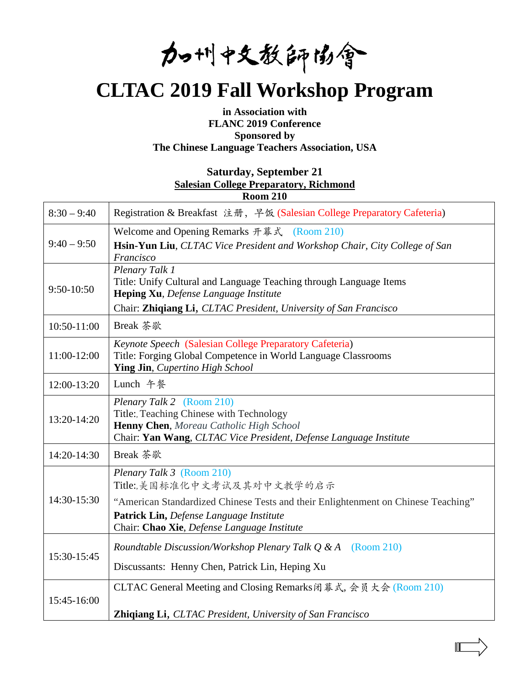加州中文教師協會

# **CLTAC 2019 Fall Workshop Program**

# **in Association with FLANC 2019 Conference Sponsored by The Chinese Language Teachers Association, USA**

# **Saturday, September 21 [Salesian College Preparatory, Richmond](https://www.google.com/maps/place/Salesian+College+Preparatory/@37.9529308,-122.3431813,17z/data=!3m1!4b1!4m5!3m4!1s0x808577f41e54e179:0x4b382bf8bae2b1ac!8m2!3d37.9529308!4d-122.3409873?hl=en&authuser=3) Room 210**

| $8:30 - 9:40$ | Registration & Breakfast 注册, 早饭 (Salesian College Preparatory Cafeteria)                                                                                                                                                               |
|---------------|----------------------------------------------------------------------------------------------------------------------------------------------------------------------------------------------------------------------------------------|
| $9:40 - 9:50$ | Welcome and Opening Remarks 开幕式 (Room 210)<br>Hsin-Yun Liu, CLTAC Vice President and Workshop Chair, City College of San<br>Francisco                                                                                                  |
| 9:50-10:50    | Plenary Talk 1<br>Title: Unify Cultural and Language Teaching through Language Items<br>Heping Xu, Defense Language Institute<br>Chair: Zhiqiang Li, CLTAC President, University of San Francisco                                      |
| 10:50-11:00   | Break 茶歇                                                                                                                                                                                                                               |
| 11:00-12:00   | Keynote Speech (Salesian College Preparatory Cafeteria)<br>Title: Forging Global Competence in World Language Classrooms<br>Ying Jin, Cupertino High School                                                                            |
| 12:00-13:20   | Lunch 午餐                                                                                                                                                                                                                               |
| 13:20-14:20   | Plenary Talk 2 (Room 210)<br>Title: Teaching Chinese with Technology<br>Henny Chen, Moreau Catholic High School<br>Chair: Yan Wang, CLTAC Vice President, Defense Language Institute                                                   |
| 14:20-14:30   | Break 茶歇                                                                                                                                                                                                                               |
| 14:30-15:30   | Plenary Talk 3 (Room 210)<br>Title:,美国标准化中文考试及其对中文教学的启示<br>"American Standardized Chinese Tests and their Enlightenment on Chinese Teaching"<br>Patrick Lin, Defense Language Institute<br>Chair: Chao Xie, Defense Language Institute |
| 15:30-15:45   | Roundtable Discussion/Workshop Plenary Talk $Q & A \quad (Room 210)$<br>Discussants: Henny Chen, Patrick Lin, Heping Xu                                                                                                                |
| 15:45-16:00   | CLTAC General Meeting and Closing Remarks闭幕式, 会员大会 (Room 210)<br><b>Zhiqiang Li, CLTAC President, University of San Francisco</b>                                                                                                      |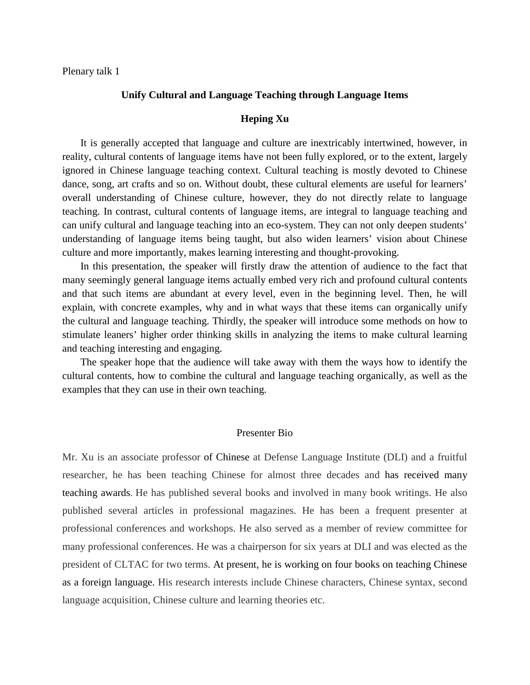Plenary talk 1

#### **Unify Cultural and Language Teaching through Language Items**

#### **Heping Xu**

It is generally accepted that language and culture are inextricably intertwined, however, in reality, cultural contents of language items have not been fully explored, or to the extent, largely ignored in Chinese language teaching context. Cultural teaching is mostly devoted to Chinese dance, song, art crafts and so on. Without doubt, these cultural elements are useful for learners' overall understanding of Chinese culture, however, they do not directly relate to language teaching. In contrast, cultural contents of language items, are integral to language teaching and can unify cultural and language teaching into an eco-system. They can not only deepen students' understanding of language items being taught, but also widen learners' vision about Chinese culture and more importantly, makes learning interesting and thought-provoking.

In this presentation, the speaker will firstly draw the attention of audience to the fact that many seemingly general language items actually embed very rich and profound cultural contents and that such items are abundant at every level, even in the beginning level. Then, he will explain, with concrete examples, why and in what ways that these items can organically unify the cultural and language teaching. Thirdly, the speaker will introduce some methods on how to stimulate leaners' higher order thinking skills in analyzing the items to make cultural learning and teaching interesting and engaging.

The speaker hope that the audience will take away with them the ways how to identify the cultural contents, how to combine the cultural and language teaching organically, as well as the examples that they can use in their own teaching.

### Presenter Bio

Mr. Xu is an associate professor of Chinese at Defense Language Institute (DLI) and a fruitful researcher, he has been teaching Chinese for almost three decades and has received many teaching awards. He has published several books and involved in many book writings. He also published several articles in professional magazines. He has been a frequent presenter at professional conferences and workshops. He also served as a member of review committee for many professional conferences. He was a chairperson for six years at DLI and was elected as the president of CLTAC for two terms. At present, he is working on four books on teaching Chinese as a foreign language. His research interests include Chinese characters, Chinese syntax, second language acquisition, Chinese culture and learning theories etc.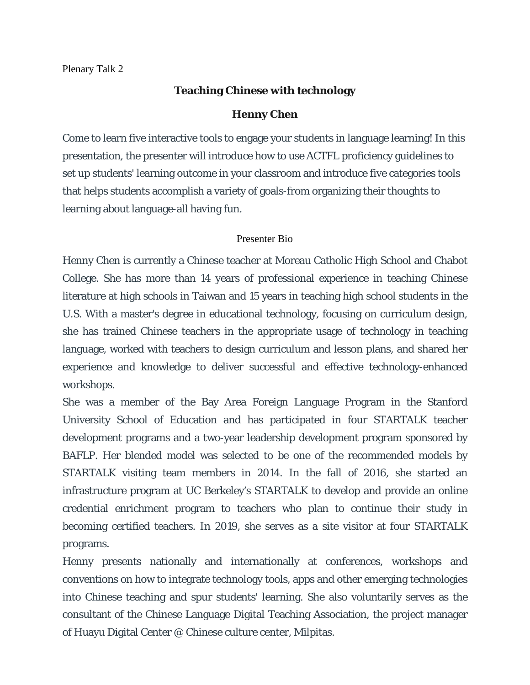# **Teaching Chinese with technology**

# **Henny Chen**

Come to learn five interactive tools to engage your students in language learning! In this presentation, the presenter will introduce how to use ACTFL proficiency guidelines to set up students' learning outcome in your classroom and introduce five categories tools that helps students accomplish a variety of goals-from organizing their thoughts to learning about language-all having fun.

# Presenter Bio

Henny Chen is currently a Chinese teacher at Moreau Catholic High School and Chabot College. She has more than 14 years of professional experience in teaching Chinese literature at high schools in Taiwan and 15 years in teaching high school students in the U.S. With a master's degree in educational technology, focusing on curriculum design, she has trained Chinese teachers in the appropriate usage of technology in teaching language, worked with teachers to design curriculum and lesson plans, and shared her experience and knowledge to deliver successful and effective technology-enhanced workshops.

She was a member of the Bay Area Foreign Language Program in the Stanford University School of Education and has participated in four STARTALK teacher development programs and a two-year leadership development program sponsored by BAFLP. Her blended model was selected to be one of the recommended models by STARTALK visiting team members in 2014. In the fall of 2016, she started an infrastructure program at UC Berkeley's STARTALK to develop and provide an online credential enrichment program to teachers who plan to continue their study in becoming certified teachers. In 2019, she serves as a site visitor at four STARTALK programs.

Henny presents nationally and internationally at conferences, workshops and conventions on how to integrate technology tools, apps and other emerging technologies into Chinese teaching and spur students' learning. She also voluntarily serves as the consultant of the Chinese Language Digital Teaching Association, the project manager of Huayu Digital Center @ Chinese culture center, Milpitas.